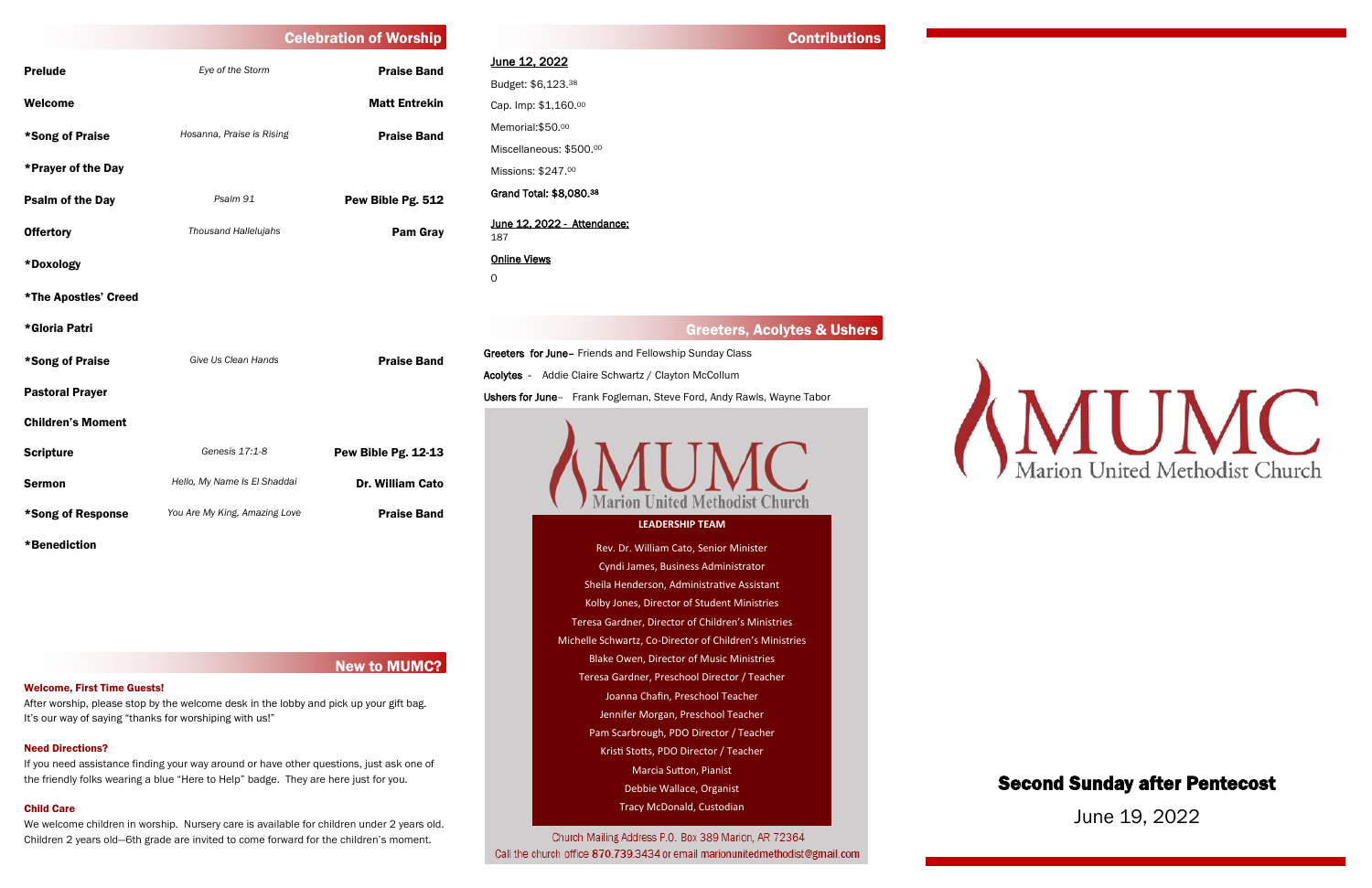# New to MUMC?

After worship, please stop by the welcome desk in the lobby and pick up your gift bag. It's our way of saying "thanks for worshiping with us!"

## Welcome, First Time Guests!

# Need Directions?

# June 12, 2022 Budget: \$6,123.<sup>38</sup> Cap. Imp: \$1,160.<sup>00</sup> Memorial: \$50.00

If you need assistance finding your way around or have other questions, just ask one of the friendly folks wearing a blue "Here to Help" badge. They are here just for you.

# Child Care

Greeters for June– Friends and Fellowship Sunday Class Acolytes - Addie Claire Schwartz / Clayton McCollum Ushers for June- Frank Fogleman, Steve Ford, Andy Rawls, Wayne Tabor



We welcome children in worship. Nursery care is available for children under 2 years old. Children 2 years old—6th grade are invited to come forward for the children's moment.

# **Contributions**

Miscellaneous: \$500.<sup>00</sup> Missions: \$247.<sup>00</sup> Grand Total: \$8,080.<sup>38</sup>

|                          | <b>Celebration of Worship</b> |                      |
|--------------------------|-------------------------------|----------------------|
| <b>Prelude</b>           | Eye of the Storm              | <b>Praise Band</b>   |
| Welcome                  |                               | <b>Matt Entrekin</b> |
| *Song of Praise          | Hosanna, Praise is Rising     | <b>Praise Band</b>   |
| *Prayer of the Day       |                               |                      |
| <b>Psalm of the Day</b>  | Psalm 91                      | Pew Bible Pg. 512    |
| <b>Offertory</b>         | Thousand Hallelujahs          | <b>Pam Gray</b>      |
| *Doxology                |                               |                      |
| *The Apostles' Creed     |                               |                      |
| *Gloria Patri            |                               |                      |
| *Song of Praise          | Give Us Clean Hands           | <b>Praise Band</b>   |
| <b>Pastoral Prayer</b>   |                               |                      |
| <b>Children's Moment</b> |                               |                      |
| <b>Scripture</b>         | Genesis 17:1-8                | Pew Bible Pg. 12-13  |
| <b>Sermon</b>            | Hello, My Name Is El Shaddai  | Dr. William Cato     |
| *Song of Response        | You Are My King, Amazing Love | <b>Praise Band</b>   |

#### June 12, 2022 - Attendance: 187

# Online Views

0

# Greeters, Acolytes & Ushers

\*Benediction

Second Sunday after Pentecost

June 19, 2022

## **LEADERSHIP TEAM**

Rev. Dr. William Cato, Senior Minister Cyndi James, Business Administrator Sheila Henderson, Administrative Assistant Kolby Jones, Director of Student Ministries Teresa Gardner, Director of Children's Ministries Michelle Schwartz, Co-Director of Children's Ministries Blake Owen, Director of Music Ministries Teresa Gardner, Preschool Director / Teacher Joanna Chafin, Preschool Teacher Jennifer Morgan, Preschool Teacher Pam Scarbrough, PDO Director / Teacher Kristi Stotts, PDO Director / Teacher Marcia Sutton, Pianist Debbie Wallace, Organist Tracy McDonald, Custodian

Church Mailing Address P.O. Box 389 Marion, AR 72364 Call the church office 870.739.3434 or email marionunitedmethodist@gmail.com